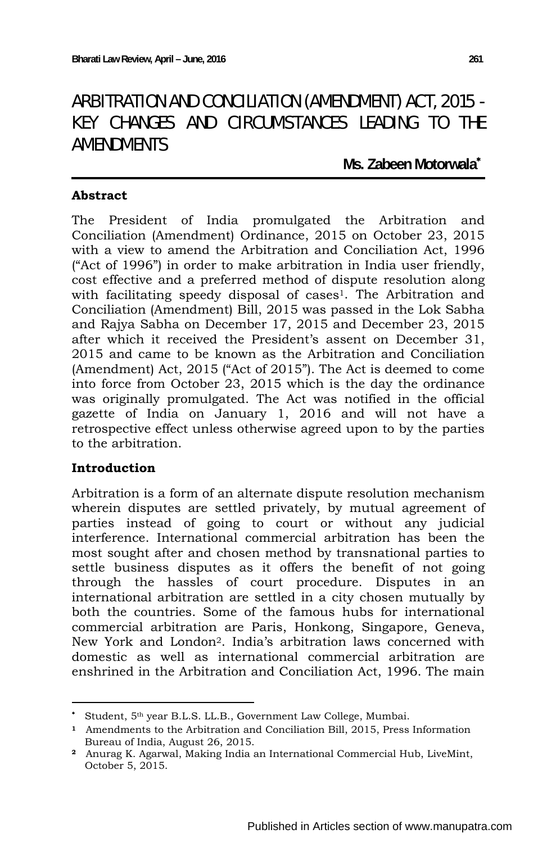# ARBITRATION AND CONCILIATION (AMENDMENT) ACT, 2015 - KEY CHANGES AND CIRCUMSTANCES LEADING TO THE AMENDMENTS

**Ms. Zabeen Motorwala**<sup>∗</sup> 

### **Abstract**

The President of India promulgated the Arbitration and Conciliation (Amendment) Ordinance, 2015 on October 23, 2015 with a view to amend the Arbitration and Conciliation Act, 1996 ("Act of 1996") in order to make arbitration in India user friendly, cost effective and a preferred method of dispute resolution along with facilitating speedy disposal of cases<sup>1</sup>. The Arbitration and Conciliation (Amendment) Bill, 2015 was passed in the Lok Sabha and Rajya Sabha on December 17, 2015 and December 23, 2015 after which it received the President's assent on December 31, 2015 and came to be known as the Arbitration and Conciliation (Amendment) Act, 2015 ("Act of 2015"). The Act is deemed to come into force from October 23, 2015 which is the day the ordinance was originally promulgated. The Act was notified in the official gazette of India on January 1, 2016 and will not have a retrospective effect unless otherwise agreed upon to by the parties to the arbitration.

# **Introduction**

Arbitration is a form of an alternate dispute resolution mechanism wherein disputes are settled privately, by mutual agreement of parties instead of going to court or without any judicial interference. International commercial arbitration has been the most sought after and chosen method by transnational parties to settle business disputes as it offers the benefit of not going through the hassles of court procedure. Disputes in an international arbitration are settled in a city chosen mutually by both the countries. Some of the famous hubs for international commercial arbitration are Paris, Honkong, Singapore, Geneva, New York and London2. India's arbitration laws concerned with domestic as well as international commercial arbitration are enshrined in the Arbitration and Conciliation Act, 1996. The main

<sup>∗</sup> Student, 5th year B.L.S. LL.B., Government Law College, Mumbai.

**<sup>1</sup>** Amendments to the Arbitration and Conciliation Bill, 2015, Press Information Bureau of India, August 26, 2015.

**<sup>2</sup>** Anurag K. Agarwal, Making India an International Commercial Hub, LiveMint, October 5, 2015.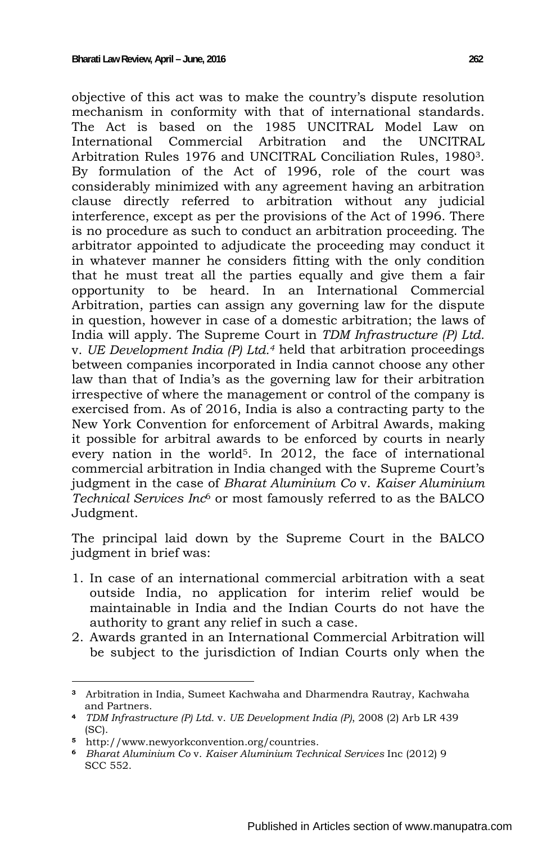objective of this act was to make the country's dispute resolution mechanism in conformity with that of international standards. The Act is based on the 1985 UNCITRAL Model Law on International Commercial Arbitration and the UNCITRAL Arbitration Rules 1976 and UNCITRAL Conciliation Rules, 19803. By formulation of the Act of 1996, role of the court was considerably minimized with any agreement having an arbitration clause directly referred to arbitration without any judicial interference, except as per the provisions of the Act of 1996. There is no procedure as such to conduct an arbitration proceeding. The arbitrator appointed to adjudicate the proceeding may conduct it in whatever manner he considers fitting with the only condition that he must treat all the parties equally and give them a fair opportunity to be heard. In an International Commercial Arbitration, parties can assign any governing law for the dispute in question, however in case of a domestic arbitration; the laws of India will apply. The Supreme Court in *TDM Infrastructure (P) Ltd.* v. *UE Development India (P) Ltd.4* held that arbitration proceedings between companies incorporated in India cannot choose any other law than that of India's as the governing law for their arbitration irrespective of where the management or control of the company is exercised from. As of 2016, India is also a contracting party to the New York Convention for enforcement of Arbitral Awards, making it possible for arbitral awards to be enforced by courts in nearly every nation in the world<sup>5</sup>. In 2012, the face of international commercial arbitration in India changed with the Supreme Court's judgment in the case of *Bharat Aluminium Co* v. *Kaiser Aluminium Technical Services Inc*6 or most famously referred to as the BALCO Judgment.

The principal laid down by the Supreme Court in the BALCO judgment in brief was:

- 1. In case of an international commercial arbitration with a seat outside India, no application for interim relief would be maintainable in India and the Indian Courts do not have the authority to grant any relief in such a case.
- 2. Awards granted in an International Commercial Arbitration will be subject to the jurisdiction of Indian Courts only when the

 **<sup>3</sup>** Arbitration in India, Sumeet Kachwaha and Dharmendra Rautray, Kachwaha and Partners.

**<sup>4</sup>** *TDM Infrastructure (P) Ltd.* v. *UE Development India (P)*, 2008 (2) Arb LR 439 (SC).

**<sup>5</sup>** http://www.newyorkconvention.org/countries.

**<sup>6</sup>** *Bharat Aluminium Co* v. *Kaiser Aluminium Technical Services* Inc (2012) 9 SCC 552.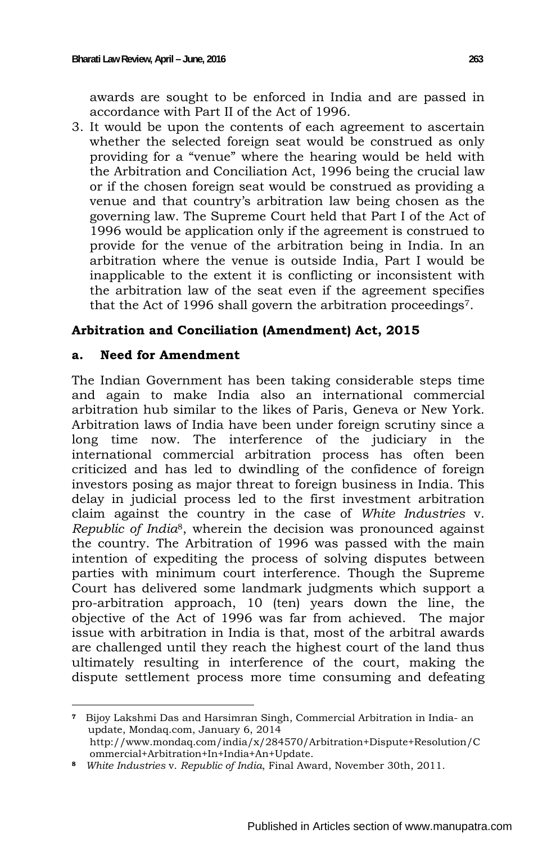awards are sought to be enforced in India and are passed in accordance with Part II of the Act of 1996.

3. It would be upon the contents of each agreement to ascertain whether the selected foreign seat would be construed as only providing for a "venue" where the hearing would be held with the Arbitration and Conciliation Act, 1996 being the crucial law or if the chosen foreign seat would be construed as providing a venue and that country's arbitration law being chosen as the governing law. The Supreme Court held that Part I of the Act of 1996 would be application only if the agreement is construed to provide for the venue of the arbitration being in India. In an arbitration where the venue is outside India, Part I would be inapplicable to the extent it is conflicting or inconsistent with the arbitration law of the seat even if the agreement specifies that the Act of 1996 shall govern the arbitration proceedings7.

# **Arbitration and Conciliation (Amendment) Act, 2015**

# **a. Need for Amendment**

The Indian Government has been taking considerable steps time and again to make India also an international commercial arbitration hub similar to the likes of Paris, Geneva or New York. Arbitration laws of India have been under foreign scrutiny since a long time now. The interference of the judiciary in the international commercial arbitration process has often been criticized and has led to dwindling of the confidence of foreign investors posing as major threat to foreign business in India. This delay in judicial process led to the first investment arbitration claim against the country in the case of *White Industries* v. *Republic of India*8, wherein the decision was pronounced against the country. The Arbitration of 1996 was passed with the main intention of expediting the process of solving disputes between parties with minimum court interference. Though the Supreme Court has delivered some landmark judgments which support a pro-arbitration approach, 10 (ten) years down the line, the objective of the Act of 1996 was far from achieved. The major issue with arbitration in India is that, most of the arbitral awards are challenged until they reach the highest court of the land thus ultimately resulting in interference of the court, making the dispute settlement process more time consuming and defeating

**<sup>7</sup>** Bijoy Lakshmi Das and Harsimran Singh, Commercial Arbitration in India- an update, Mondaq.com, January 6, 2014 http://www.mondaq.com/india/x/284570/Arbitration+Dispute+Resolution/C ommercial+Arbitration+In+India+An+Update.

**<sup>8</sup>** *White Industries* v. *Republic of India*, Final Award, November 30th, 2011.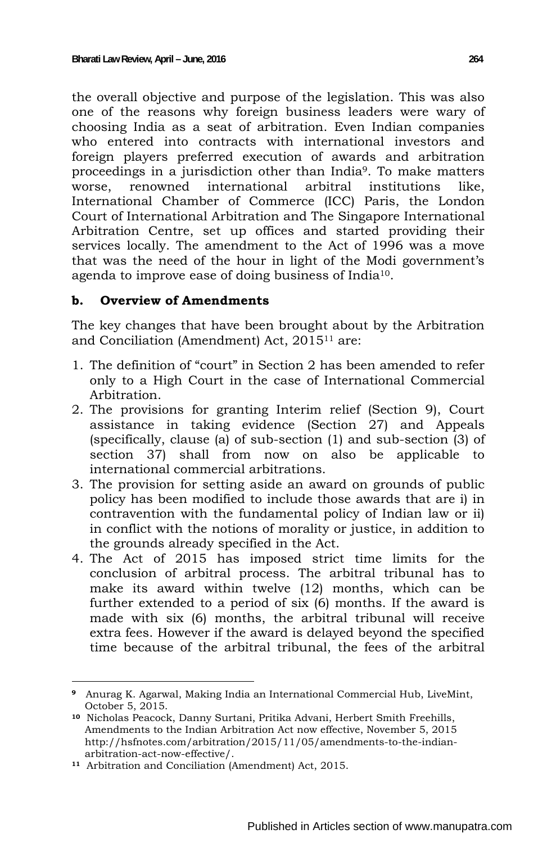the overall objective and purpose of the legislation. This was also one of the reasons why foreign business leaders were wary of choosing India as a seat of arbitration. Even Indian companies who entered into contracts with international investors and foreign players preferred execution of awards and arbitration proceedings in a jurisdiction other than India9. To make matters worse, renowned international arbitral institutions like, International Chamber of Commerce (ICC) Paris, the London Court of International Arbitration and The Singapore International Arbitration Centre, set up offices and started providing their services locally. The amendment to the Act of 1996 was a move that was the need of the hour in light of the Modi government's agenda to improve ease of doing business of India10.

#### **b. Overview of Amendments**

The key changes that have been brought about by the Arbitration and Conciliation (Amendment) Act, 201511 are:

- 1. The definition of "court" in Section 2 has been amended to refer only to a High Court in the case of International Commercial Arbitration.
- 2. The provisions for granting Interim relief (Section 9), Court assistance in taking evidence (Section 27) and Appeals (specifically, clause (a) of sub-section (1) and sub-section (3) of section 37) shall from now on also be applicable to international commercial arbitrations.
- 3. The provision for setting aside an award on grounds of public policy has been modified to include those awards that are i) in contravention with the fundamental policy of Indian law or ii) in conflict with the notions of morality or justice, in addition to the grounds already specified in the Act.
- 4. The Act of 2015 has imposed strict time limits for the conclusion of arbitral process. The arbitral tribunal has to make its award within twelve (12) months, which can be further extended to a period of six (6) months. If the award is made with six (6) months, the arbitral tribunal will receive extra fees. However if the award is delayed beyond the specified time because of the arbitral tribunal, the fees of the arbitral

 **<sup>9</sup>** Anurag K. Agarwal, Making India an International Commercial Hub, LiveMint, October 5, 2015.

**<sup>10</sup>** Nicholas Peacock, Danny Surtani, Pritika Advani, Herbert Smith Freehills, Amendments to the Indian Arbitration Act now effective, November 5, 2015 http://hsfnotes.com/arbitration/2015/11/05/amendments-to-the-indian arbitration-act-now-effective/.

**<sup>11</sup>** Arbitration and Conciliation (Amendment) Act, 2015.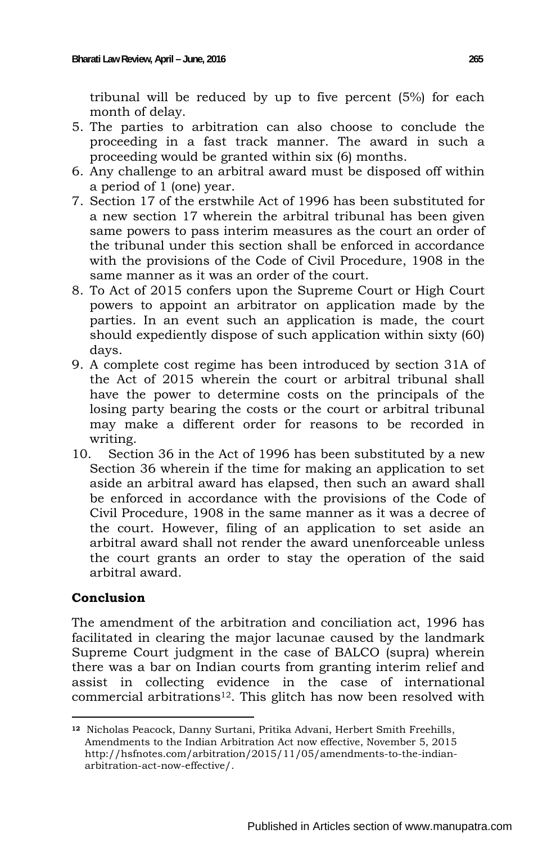tribunal will be reduced by up to five percent (5%) for each month of delay.

- 5. The parties to arbitration can also choose to conclude the proceeding in a fast track manner. The award in such a proceeding would be granted within six (6) months.
- 6. Any challenge to an arbitral award must be disposed off within a period of 1 (one) year.
- 7. Section 17 of the erstwhile Act of 1996 has been substituted for a new section 17 wherein the arbitral tribunal has been given same powers to pass interim measures as the court an order of the tribunal under this section shall be enforced in accordance with the provisions of the Code of Civil Procedure, 1908 in the same manner as it was an order of the court.
- 8. To Act of 2015 confers upon the Supreme Court or High Court powers to appoint an arbitrator on application made by the parties. In an event such an application is made, the court should expediently dispose of such application within sixty (60) days.
- 9. A complete cost regime has been introduced by section 31A of the Act of 2015 wherein the court or arbitral tribunal shall have the power to determine costs on the principals of the losing party bearing the costs or the court or arbitral tribunal may make a different order for reasons to be recorded in writing.
- 10. Section 36 in the Act of 1996 has been substituted by a new Section 36 wherein if the time for making an application to set aside an arbitral award has elapsed, then such an award shall be enforced in accordance with the provisions of the Code of Civil Procedure, 1908 in the same manner as it was a decree of the court. However, filing of an application to set aside an arbitral award shall not render the award unenforceable unless the court grants an order to stay the operation of the said arbitral award.

# **Conclusion**

The amendment of the arbitration and conciliation act, 1996 has facilitated in clearing the major lacunae caused by the landmark Supreme Court judgment in the case of BALCO (supra) wherein there was a bar on Indian courts from granting interim relief and assist in collecting evidence in the case of international commercial arbitrations12. This glitch has now been resolved with

 **<sup>12</sup>** Nicholas Peacock, Danny Surtani, Pritika Advani, Herbert Smith Freehills, Amendments to the Indian Arbitration Act now effective, November 5, 2015 http://hsfnotes.com/arbitration/2015/11/05/amendments-to-the-indian arbitration-act-now-effective/.